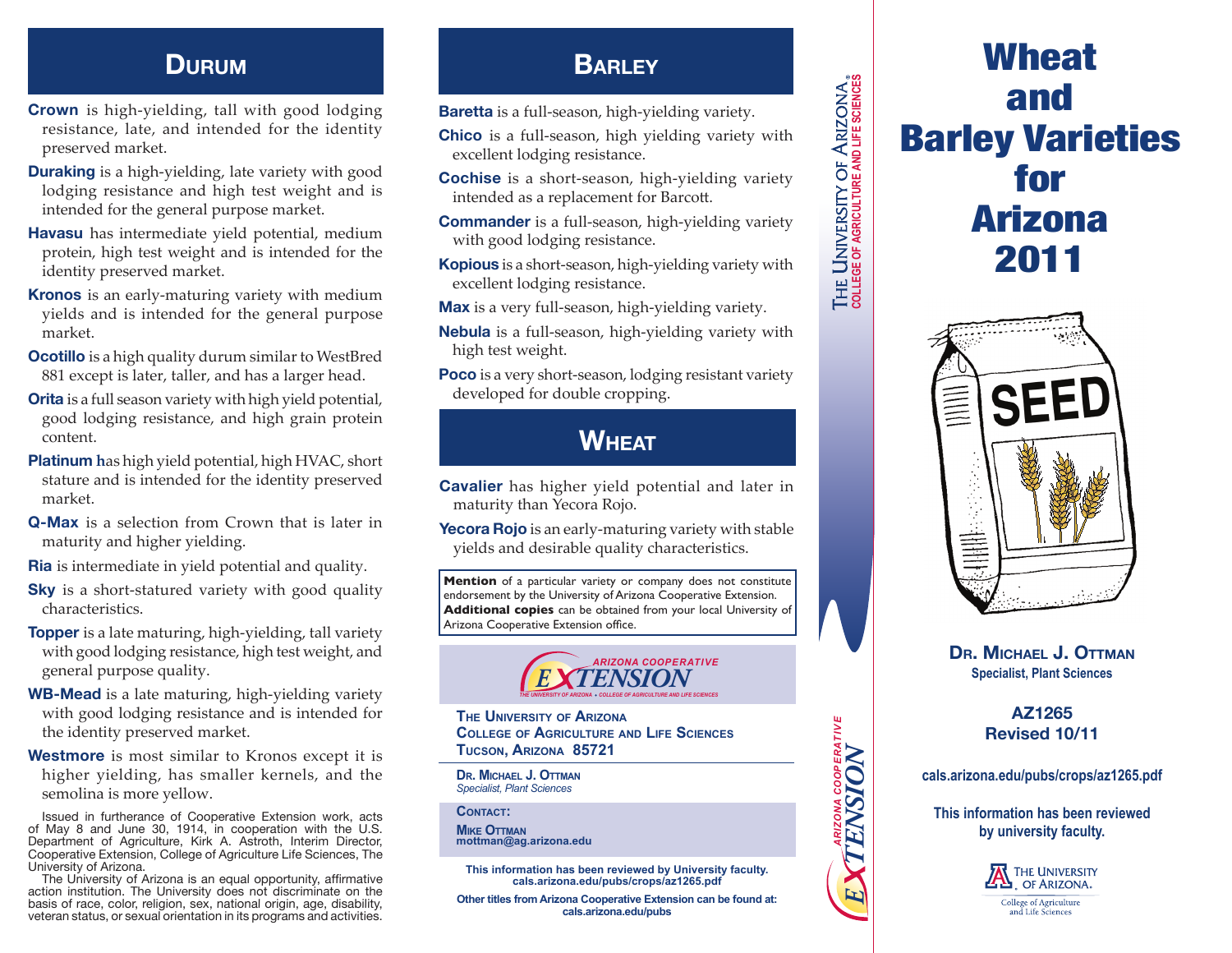- **Crown** is high-yielding, tall with good lodging resistance, late, and intended for the identity preserved market.
- **Duraking** is a high-yielding, late variety with good lodging resistance and high test weight and is intended for the general purpose market.
- **Havasu** has intermediate yield potential, medium protein, high test weight and is intended for the identity preserved market.
- **Kronos** is an early-maturing variety with medium yields and is intended for the general purpose market.
- **Ocotillo** is a high quality durum similar to WestBred 881 except is later, taller, and has a larger head.
- **Orita** is a full season variety with high yield potential, good lodging resistance, and high grain protein content.
- **Platinum h**as high yield potential, high HVAC, short stature and is intended for the identity preserved market.
- **Q-Max** is a selection from Crown that is later in maturity and higher yielding.
- **Ria** is intermediate in yield potential and quality.
- **Sky** is a short-statured variety with good quality characteristics.
- **Topper** is a late maturing, high-yielding, tall variety with good lodging resistance, high test weight, and general purpose quality.
- **WB-Mead** is a late maturing, high-yielding variety with good lodging resistance and is intended for the identity preserved market.
- **Westmore** is most similar to Kronos except it is higher yielding, has smaller kernels, and the semolina is more yellow.

Issued in furtherance of Cooperative Extension work, acts of May 8 and June 30, 1914, in cooperation with the U.S. Department of Agriculture, Kirk A. Astroth, Interim Director, Cooperative Extension, College of Agriculture Life Sciences, The University of Arizona.

The University of Arizona is an equal opportunity, affirmative action institution. The University does not discriminate on the basis of race, color, religion, sex, national origin, age, disability, veteran status, or sexual orientation in its programs and activities.

## **DURUM BARLEY**

**Baretta** is a full-season, high-yielding variety.

- **Chico** is a full-season, high yielding variety with excellent lodging resistance.
- **Cochise** is a short-season, high-yielding variety intended as a replacement for Barcott.
- **Commander** is a full-season, high-yielding variety with good lodging resistance.
- **Kopious** is a short-season, high-yielding variety with excellent lodging resistance.
- **Max** is a very full-season, high-yielding variety.
- **Nebula** is a full-season, high-yielding variety with high test weight.
- **Poco** is a very short-season, lodging resistant variety developed for double cropping.

# **Wheat**

**Cavalier** has higher yield potential and later in maturity than Yecora Rojo.

**Yecora Rojo** is an early-maturing variety with stable yields and desirable quality characteristics.

**Mention** of a particular variety or company does not constitute endorsement by the University of Arizona Cooperative Extension. **Additional copies** can be obtained from your local University of Arizona Cooperative Extension office.



**The University of Arizona College of Agriculture and Life Sciences Tucson, Arizona 85721**

**Dr. Michael J. Ottman** *Specialist, Plant Sciences*

CONTACT: **Mike Ottman mottman@ag.arizona.edu**

**This information has been reviewed by University faculty. cals.arizona.edu/pubs/crops/az1265.pdf**

**Other titles from Arizona Cooperative Extension can be found at: cals.arizona.edu/pubs**

# Barley Varieties



Wheat

and

for

Arizona

2011

**Dr. Michael J. Ottman Specialist, Plant Sciences**

### **AZ1265 Revised 10/11**

**cals.arizona.edu/pubs/crops/az1265.pdf**

*ARIZONA COOPERATIVE*

ARIZONA COOPERATIVE<br>"ENSION

*E TENSION* **COLLEGE OF AGRICULTURE AND LIFE SCIENCES**

THE UNIVERSITY OF ARIZONA.

**This information has been reviewed by university faculty.**